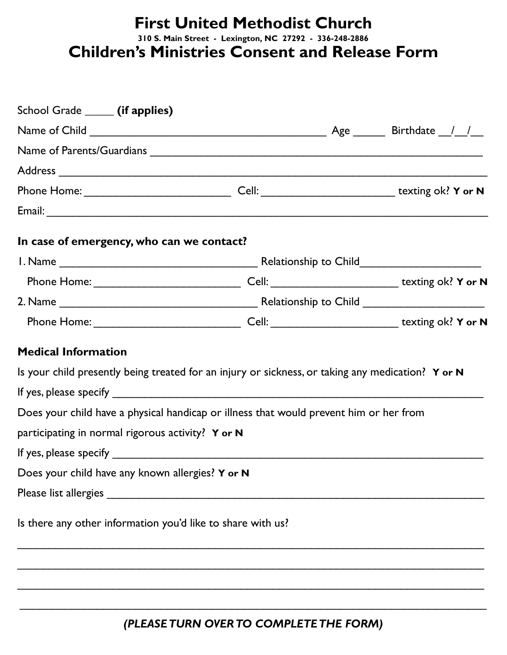## **First United Methodist Church 310 S. Main Street - Lexington, NC 27292 - 336-248-2886 Children's Ministries Consent and Release Form**

| School Grade ______ (if applies)                            |                                                                                                      |  |  |
|-------------------------------------------------------------|------------------------------------------------------------------------------------------------------|--|--|
|                                                             |                                                                                                      |  |  |
|                                                             |                                                                                                      |  |  |
|                                                             |                                                                                                      |  |  |
|                                                             |                                                                                                      |  |  |
|                                                             |                                                                                                      |  |  |
| In case of emergency, who can we contact?                   |                                                                                                      |  |  |
|                                                             |                                                                                                      |  |  |
|                                                             | Phone Home: ___________________________________Cell: ____________________________ texting ok? Y or N |  |  |
|                                                             |                                                                                                      |  |  |
|                                                             | Phone Home: Cell: Cell: Cell: texting ok? Y or N                                                     |  |  |
| <b>Medical Information</b>                                  |                                                                                                      |  |  |
|                                                             | Is your child presently being treated for an injury or sickness, or taking any medication? Y or N    |  |  |
|                                                             | If yes, please specify $\overline{\phantom{a}}$                                                      |  |  |
|                                                             | Does your child have a physical handicap or illness that would prevent him or her from               |  |  |
| participating in normal rigorous activity? Y or N           |                                                                                                      |  |  |
|                                                             |                                                                                                      |  |  |
| Does your child have any known allergies? Y or N            |                                                                                                      |  |  |
|                                                             |                                                                                                      |  |  |
| Is there any other information you'd like to share with us? |                                                                                                      |  |  |
|                                                             |                                                                                                      |  |  |
|                                                             |                                                                                                      |  |  |
|                                                             |                                                                                                      |  |  |